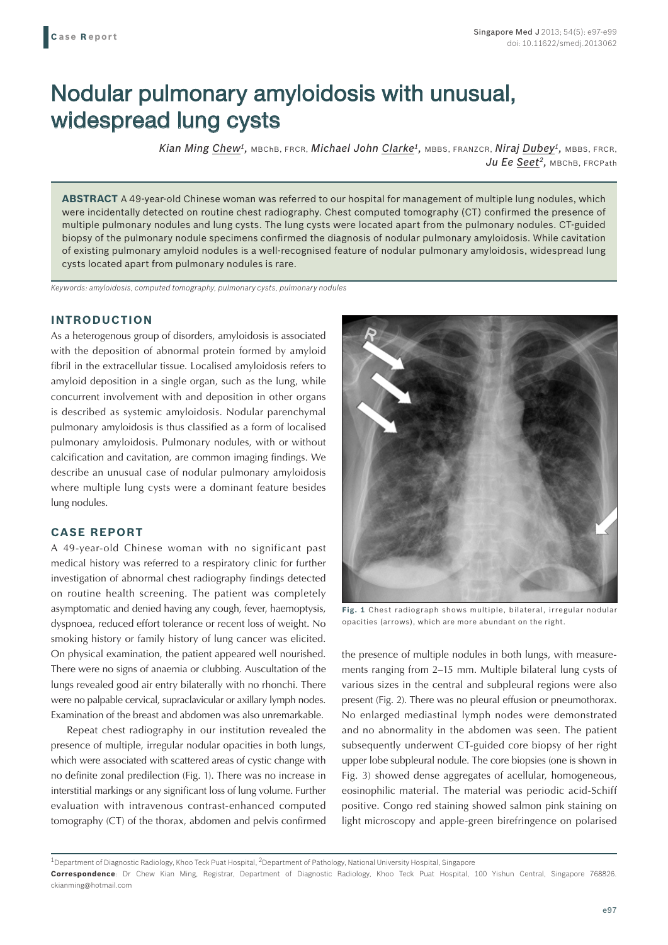# Nodular pulmonary amyloidosis with unusual, widespread lung cysts

*Kian Ming Chew1,* MBChB, FRCR, *Michael John Clarke1,* MBBS, FRANZCR, *Niraj Dubey1,* MBBS, FRCR, Ju Ee Seet<sup>2</sup>, MBChB, FRCPath

**ABSTRACT** A 49-year-old Chinese woman was referred to our hospital for management of multiple lung nodules, which were incidentally detected on routine chest radiography. Chest computed tomography (CT) confirmed the presence of multiple pulmonary nodules and lung cysts. The lung cysts were located apart from the pulmonary nodules. CT-guided biopsy of the pulmonary nodule specimens confirmed the diagnosis of nodular pulmonary amyloidosis. While cavitation of existing pulmonary amyloid nodules is a well-recognised feature of nodular pulmonary amyloidosis, widespread lung cysts located apart from pulmonary nodules is rare.

*Keywords: amyloidosis, computed tomography, pulmonary cysts, pulmonary nodules*

## **INTRODUCTION**

As a heterogenous group of disorders, amyloidosis is associated with the deposition of abnormal protein formed by amyloid fibril in the extracellular tissue. Localised amyloidosis refers to amyloid deposition in a single organ, such as the lung, while concurrent involvement with and deposition in other organs is described as systemic amyloidosis. Nodular parenchymal pulmonary amyloidosis is thus classified as a form of localised pulmonary amyloidosis. Pulmonary nodules, with or without calcification and cavitation, are common imaging findings. We describe an unusual case of nodular pulmonary amyloidosis where multiple lung cysts were a dominant feature besides lung nodules.

#### **CASE REPORT**

A 49-year-old Chinese woman with no significant past medical history was referred to a respiratory clinic for further investigation of abnormal chest radiography findings detected on routine health screening. The patient was completely asymptomatic and denied having any cough, fever, haemoptysis, dyspnoea, reduced effort tolerance or recent loss of weight. No smoking history or family history of lung cancer was elicited. On physical examination, the patient appeared well nourished. There were no signs of anaemia or clubbing. Auscultation of the lungs revealed good air entry bilaterally with no rhonchi. There were no palpable cervical, supraclavicular or axillary lymph nodes. Examination of the breast and abdomen was also unremarkable.

Repeat chest radiography in our institution revealed the presence of multiple, irregular nodular opacities in both lungs, which were associated with scattered areas of cystic change with no definite zonal predilection (Fig. 1). There was no increase in interstitial markings or any significant loss of lung volume. Further evaluation with intravenous contrast-enhanced computed tomography (CT) of the thorax, abdomen and pelvis confirmed



**Fig. 1** Chest radiograph shows multiple, bilateral, irregular nodular opacities (arrows), which are more abundant on the right.

the presence of multiple nodules in both lungs, with measurements ranging from 2–15 mm. Multiple bilateral lung cysts of various sizes in the central and subpleural regions were also present (Fig. 2). There was no pleural effusion or pneumothorax. No enlarged mediastinal lymph nodes were demonstrated and no abnormality in the abdomen was seen. The patient subsequently underwent CT-guided core biopsy of her right upper lobe subpleural nodule. The core biopsies (one is shown in Fig. 3) showed dense aggregates of acellular, homogeneous, eosinophilic material. The material was periodic acid-Schiff positive. Congo red staining showed salmon pink staining on light microscopy and apple-green birefringence on polarised

<sup>&</sup>lt;sup>1</sup>Department of Diagnostic Radiology, Khoo Teck Puat Hospital, <sup>2</sup>Department of Pathology, National University Hospital, Singapore **Correspondence**: Dr Chew Kian Ming, Registrar, Department of Diagnostic Radiology, Khoo Teck Puat Hospital, 100 Yishun Central, Singapore 768826. ckianming@hotmail.com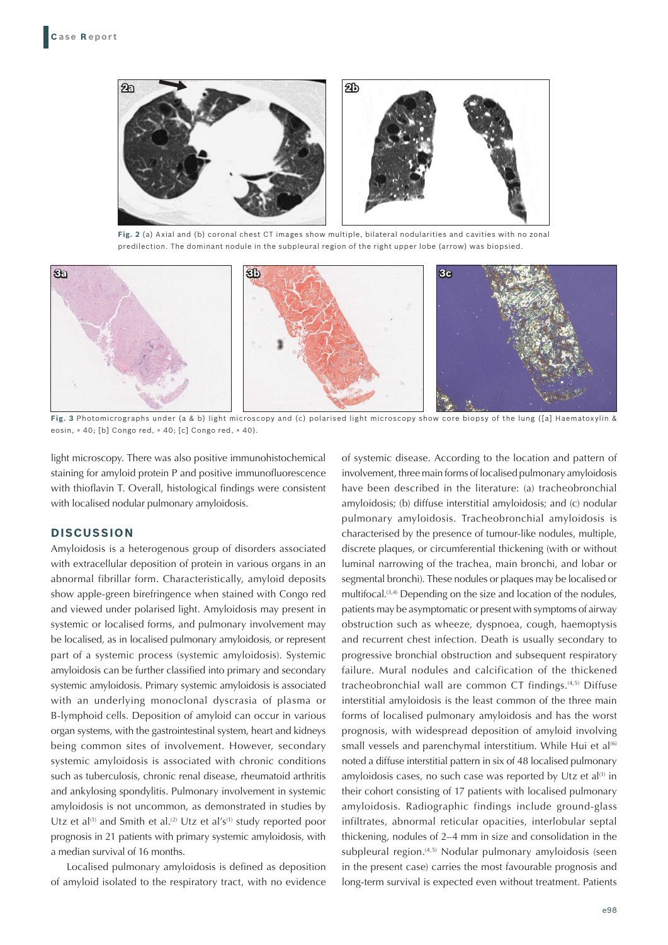

**Fig. 2** (a) Axial and (b) coronal chest CT images show multiple, bilateral nodularities and cavities with no zonal predilection. The dominant nodule in the subpleural region of the right upper lobe (arrow) was biopsied.



**Fig. 3** Photomicrographs under (a & b) light microscopy and (c) polarised light microscopy show core biopsy of the lung ([a] Haematoxylin & eosin, × 40; [b] Congo red, × 40; [c] Congo red, × 40).

light microscopy. There was also positive immunohistochemical staining for amyloid protein P and positive immunofluorescence with thioflavin T. Overall, histological findings were consistent with localised nodular pulmonary amyloidosis.

### **DISCUSSION**

Amyloidosis is a heterogenous group of disorders associated with extracellular deposition of protein in various organs in an abnormal fibrillar form. Characteristically, amyloid deposits show apple-green birefringence when stained with Congo red and viewed under polarised light. Amyloidosis may present in systemic or localised forms, and pulmonary involvement may be localised, as in localised pulmonary amyloidosis, or represent part of a systemic process (systemic amyloidosis). Systemic amyloidosis can be further classified into primary and secondary systemic amyloidosis. Primary systemic amyloidosis is associated with an underlying monoclonal dyscrasia of plasma or B-lymphoid cells. Deposition of amyloid can occur in various organ systems, with the gastrointestinal system, heart and kidneys being common sites of involvement. However, secondary systemic amyloidosis is associated with chronic conditions such as tuberculosis, chronic renal disease, rheumatoid arthritis and ankylosing spondylitis. Pulmonary involvement in systemic amyloidosis is not uncommon, as demonstrated in studies by Utz et al<sup>(1)</sup> and Smith et al.<sup>(2)</sup> Utz et al's<sup>(1)</sup> study reported poor prognosis in 21 patients with primary systemic amyloidosis, with a median survival of 16 months.

Localised pulmonary amyloidosis is defined as deposition of amyloid isolated to the respiratory tract, with no evidence of systemic disease. According to the location and pattern of involvement, three main forms of localised pulmonary amyloidosis have been described in the literature: (a) tracheobronchial amyloidosis; (b) diffuse interstitial amyloidosis; and (c) nodular pulmonary amyloidosis. Tracheobronchial amyloidosis is characterised by the presence of tumour-like nodules, multiple, discrete plaques, or circumferential thickening (with or without luminal narrowing of the trachea, main bronchi, and lobar or segmental bronchi). These nodules or plaques may be localised or multifocal.<sup>(3,4)</sup> Depending on the size and location of the nodules, patients may be asymptomatic or present with symptoms of airway obstruction such as wheeze, dyspnoea, cough, haemoptysis and recurrent chest infection. Death is usually secondary to progressive bronchial obstruction and subsequent respiratory failure. Mural nodules and calcification of the thickened tracheobronchial wall are common CT findings.(4,5) Diffuse interstitial amyloidosis is the least common of the three main forms of localised pulmonary amyloidosis and has the worst prognosis, with widespread deposition of amyloid involving small vessels and parenchymal interstitium. While Hui et al<sup>(6)</sup> noted a diffuse interstitial pattern in six of 48 localised pulmonary amyloidosis cases, no such case was reported by Utz et al $(1)$  in their cohort consisting of 17 patients with localised pulmonary amyloidosis. Radiographic findings include ground-glass infiltrates, abnormal reticular opacities, interlobular septal thickening, nodules of 2–4 mm in size and consolidation in the subpleural region.<sup>(4,5)</sup> Nodular pulmonary amyloidosis (seen in the present case) carries the most favourable prognosis and long-term survival is expected even without treatment. Patients